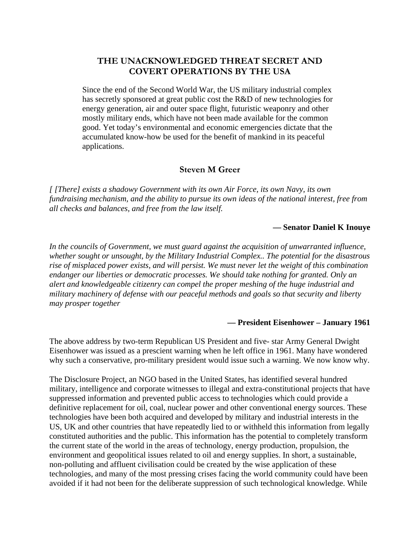# **THE UNACKNOWLEDGED THREAT SECRET AND COVERT OPERATIONS BY THE USA**

Since the end of the Second World War, the US military industrial complex has secretly sponsored at great public cost the R&D of new technologies for energy generation, air and outer space flight, futuristic weaponry and other mostly military ends, which have not been made available for the common good. Yet today's environmental and economic emergencies dictate that the accumulated know-how be used for the benefit of mankind in its peaceful applications.

## **Steven M Greer**

*[ [There] exists a shadowy Government with its own Air Force, its own Navy, its own fundraising mechanism, and the ability to pursue its own ideas of the national interest, free from all checks and balances, and free from the law itself.* 

#### **— Senator Daniel K Inouye**

*In the councils of Government, we must guard against the acquisition of unwarranted influence, whether sought or unsought, by the Military Industrial Complex.. The potential for the disastrous rise of misplaced power exists, and will persist. We must never let the weight of this combination endanger our liberties or democratic processes. We should take nothing for granted. Only an alert and knowledgeable citizenry can compel the proper meshing of the huge industrial and military machinery of defense with our peaceful methods and goals so that security and liberty may prosper together*

#### **— President Eisenhower – January 1961**

The above address by two-term Republican US President and five- star Army General Dwight Eisenhower was issued as a prescient warning when he left office in 1961. Many have wondered why such a conservative, pro-military president would issue such a warning. We now know why.

The Disclosure Project, an NGO based in the United States, has identified several hundred military, intelligence and corporate witnesses to illegal and extra-constitutional projects that have suppressed information and prevented public access to technologies which could provide a definitive replacement for oil, coal, nuclear power and other conventional energy sources. These technologies have been both acquired and developed by military and industrial interests in the US, UK and other countries that have repeatedly lied to or withheld this information from legally constituted authorities and the public. This information has the potential to completely transform the current state of the world in the areas of technology, energy production, propulsion, the environment and geopolitical issues related to oil and energy supplies. In short, a sustainable, non-polluting and affluent civilisation could be created by the wise application of these technologies, and many of the most pressing crises facing the world community could have been avoided if it had not been for the deliberate suppression of such technological knowledge. While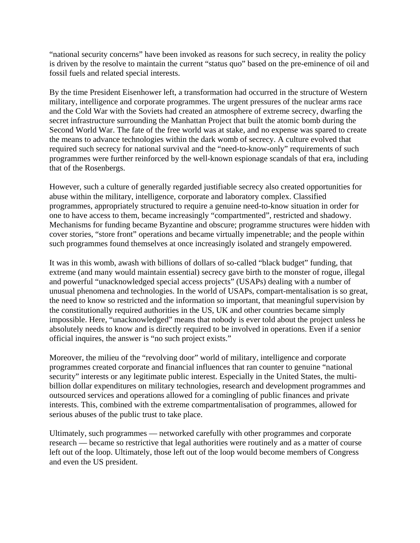"national security concerns" have been invoked as reasons for such secrecy, in reality the policy is driven by the resolve to maintain the current "status quo" based on the pre-eminence of oil and fossil fuels and related special interests.

By the time President Eisenhower left, a transformation had occurred in the structure of Western military, intelligence and corporate programmes. The urgent pressures of the nuclear arms race and the Cold War with the Soviets had created an atmosphere of extreme secrecy, dwarfing the secret infrastructure surrounding the Manhattan Project that built the atomic bomb during the Second World War. The fate of the free world was at stake, and no expense was spared to create the means to advance technologies within the dark womb of secrecy. A culture evolved that required such secrecy for national survival and the "need-to-know-only" requirements of such programmes were further reinforced by the well-known espionage scandals of that era, including that of the Rosenbergs.

However, such a culture of generally regarded justifiable secrecy also created opportunities for abuse within the military, intelligence, corporate and laboratory complex. Classified programmes, appropriately structured to require a genuine need-to-know situation in order for one to have access to them, became increasingly "compartmented", restricted and shadowy. Mechanisms for funding became Byzantine and obscure; programme structures were hidden with cover stories, "store front" operations and became virtually impenetrable; and the people within such programmes found themselves at once increasingly isolated and strangely empowered.

It was in this womb, awash with billions of dollars of so-called "black budget" funding, that extreme (and many would maintain essential) secrecy gave birth to the monster of rogue, illegal and powerful "unacknowledged special access projects" (USAPs) dealing with a number of unusual phenomena and technologies. In the world of USAPs, compart-mentalisation is so great, the need to know so restricted and the information so important, that meaningful supervision by the constitutionally required authorities in the US, UK and other countries became simply impossible. Here, "unacknowledged" means that nobody is ever told about the project unless he absolutely needs to know and is directly required to be involved in operations. Even if a senior official inquires, the answer is "no such project exists."

Moreover, the milieu of the "revolving door" world of military, intelligence and corporate programmes created corporate and financial influences that ran counter to genuine "national security" interests or any legitimate public interest. Especially in the United States, the multibillion dollar expenditures on military technologies, research and development programmes and outsourced services and operations allowed for a comingling of public finances and private interests. This, combined with the extreme compartmentalisation of programmes, allowed for serious abuses of the public trust to take place.

Ultimately, such programmes — networked carefully with other programmes and corporate research — became so restrictive that legal authorities were routinely and as a matter of course left out of the loop. Ultimately, those left out of the loop would become members of Congress and even the US president.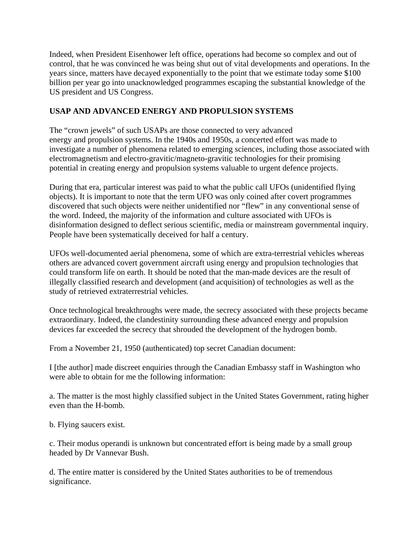Indeed, when President Eisenhower left office, operations had become so complex and out of control, that he was convinced he was being shut out of vital developments and operations. In the years since, matters have decayed exponentially to the point that we estimate today some \$100 billion per year go into unacknowledged programmes escaping the substantial knowledge of the US president and US Congress.

# **USAP AND ADVANCED ENERGY AND PROPULSION SYSTEMS**

The "crown jewels" of such USAPs are those connected to very advanced energy and propulsion systems. In the 1940s and 1950s, a concerted effort was made to investigate a number of phenomena related to emerging sciences, including those associated with electromagnetism and electro-gravitic/magneto-gravitic technologies for their promising potential in creating energy and propulsion systems valuable to urgent defence projects.

During that era, particular interest was paid to what the public call UFOs (unidentified flying objects). It is important to note that the term UFO was only coined after covert programmes discovered that such objects were neither unidentified nor "flew" in any conventional sense of the word. Indeed, the majority of the information and culture associated with UFOs is disinformation designed to deflect serious scientific, media or mainstream governmental inquiry. People have been systematically deceived for half a century.

UFOs well-documented aerial phenomena, some of which are extra-terrestrial vehicles whereas others are advanced covert government aircraft using energy and propulsion technologies that could transform life on earth. It should be noted that the man-made devices are the result of illegally classified research and development (and acquisition) of technologies as well as the study of retrieved extraterrestrial vehicles.

Once technological breakthroughs were made, the secrecy associated with these projects became extraordinary. Indeed, the clandestinity surrounding these advanced energy and propulsion devices far exceeded the secrecy that shrouded the development of the hydrogen bomb.

From a November 21, 1950 (authenticated) top secret Canadian document:

I [the author] made discreet enquiries through the Canadian Embassy staff in Washington who were able to obtain for me the following information:

a. The matter is the most highly classified subject in the United States Government, rating higher even than the H-bomb.

b. Flying saucers exist.

c. Their modus operandi is unknown but concentrated effort is being made by a small group headed by Dr Vannevar Bush.

d. The entire matter is considered by the United States authorities to be of tremendous significance.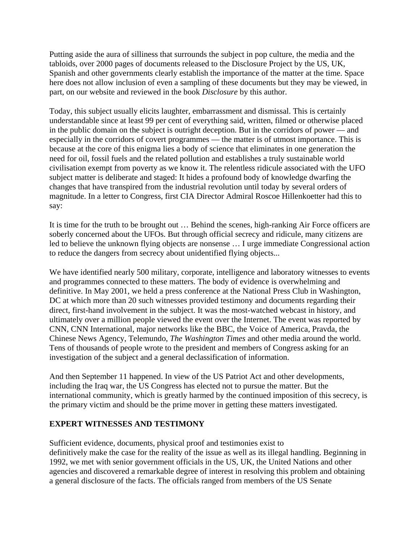Putting aside the aura of silliness that surrounds the subject in pop culture, the media and the tabloids, over 2000 pages of documents released to the Disclosure Project by the US, UK, Spanish and other governments clearly establish the importance of the matter at the time. Space here does not allow inclusion of even a sampling of these documents but they may be viewed, in part, on our website and reviewed in the book *Disclosure* by this author.

Today, this subject usually elicits laughter, embarrassment and dismissal. This is certainly understandable since at least 99 per cent of everything said, written, filmed or otherwise placed in the public domain on the subject is outright deception. But in the corridors of power — and especially in the corridors of covert programmes — the matter is of utmost importance. This is because at the core of this enigma lies a body of science that eliminates in one generation the need for oil, fossil fuels and the related pollution and establishes a truly sustainable world civilisation exempt from poverty as we know it. The relentless ridicule associated with the UFO subject matter is deliberate and staged: It hides a profound body of knowledge dwarfing the changes that have transpired from the industrial revolution until today by several orders of magnitude. In a letter to Congress, first CIA Director Admiral Roscoe Hillenkoetter had this to say:

It is time for the truth to be brought out … Behind the scenes, high-ranking Air Force officers are soberly concerned about the UFOs. But through official secrecy and ridicule, many citizens are led to believe the unknown flying objects are nonsense … I urge immediate Congressional action to reduce the dangers from secrecy about unidentified flying objects...

We have identified nearly 500 military, corporate, intelligence and laboratory witnesses to events and programmes connected to these matters. The body of evidence is overwhelming and definitive. In May 2001, we held a press conference at the National Press Club in Washington, DC at which more than 20 such witnesses provided testimony and documents regarding their direct, first-hand involvement in the subject. It was the most-watched webcast in history, and ultimately over a million people viewed the event over the Internet. The event was reported by CNN, CNN International, major networks like the BBC, the Voice of America, Pravda, the Chinese News Agency, Telemundo, *The Washington Times* and other media around the world. Tens of thousands of people wrote to the president and members of Congress asking for an investigation of the subject and a general declassification of information.

And then September 11 happened. In view of the US Patriot Act and other developments, including the Iraq war, the US Congress has elected not to pursue the matter. But the international community, which is greatly harmed by the continued imposition of this secrecy, is the primary victim and should be the prime mover in getting these matters investigated.

## **EXPERT WITNESSES AND TESTIMONY**

Sufficient evidence, documents, physical proof and testimonies exist to definitively make the case for the reality of the issue as well as its illegal handling. Beginning in 1992, we met with senior government officials in the US, UK, the United Nations and other agencies and discovered a remarkable degree of interest in resolving this problem and obtaining a general disclosure of the facts. The officials ranged from members of the US Senate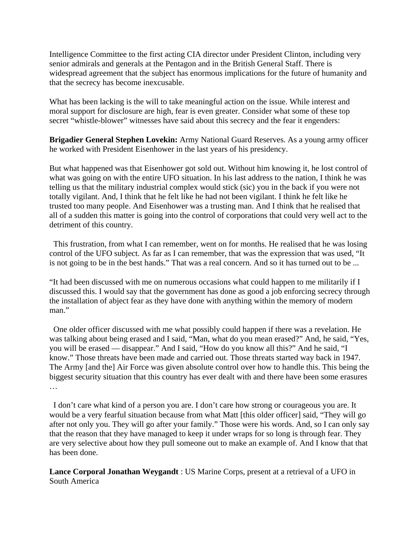Intelligence Committee to the first acting CIA director under President Clinton, including very senior admirals and generals at the Pentagon and in the British General Staff. There is widespread agreement that the subject has enormous implications for the future of humanity and that the secrecy has become inexcusable.

What has been lacking is the will to take meaningful action on the issue. While interest and moral support for disclosure are high, fear is even greater. Consider what some of these top secret "whistle-blower" witnesses have said about this secrecy and the fear it engenders:

**Brigadier General Stephen Lovekin:** Army National Guard Reserves. As a young army officer he worked with President Eisenhower in the last years of his presidency.

But what happened was that Eisenhower got sold out. Without him knowing it, he lost control of what was going on with the entire UFO situation. In his last address to the nation, I think he was telling us that the military industrial complex would stick (sic) you in the back if you were not totally vigilant. And, I think that he felt like he had not been vigilant. I think he felt like he trusted too many people. And Eisenhower was a trusting man. And I think that he realised that all of a sudden this matter is going into the control of corporations that could very well act to the detriment of this country.

 This frustration, from what I can remember, went on for months. He realised that he was losing control of the UFO subject. As far as I can remember, that was the expression that was used, "It is not going to be in the best hands." That was a real concern. And so it has turned out to be ...

"It had been discussed with me on numerous occasions what could happen to me militarily if I discussed this. I would say that the government has done as good a job enforcing secrecy through the installation of abject fear as they have done with anything within the memory of modern man."

 One older officer discussed with me what possibly could happen if there was a revelation. He was talking about being erased and I said, "Man, what do you mean erased?" And, he said, "Yes, you will be erased — disappear." And I said, "How do you know all this?" And he said, "I know." Those threats have been made and carried out. Those threats started way back in 1947. The Army [and the] Air Force was given absolute control over how to handle this. This being the biggest security situation that this country has ever dealt with and there have been some erasures …

 I don't care what kind of a person you are. I don't care how strong or courageous you are. It would be a very fearful situation because from what Matt [this older officer] said, "They will go after not only you. They will go after your family." Those were his words. And, so I can only say that the reason that they have managed to keep it under wraps for so long is through fear. They are very selective about how they pull someone out to make an example of. And I know that that has been done.

**Lance Corporal Jonathan Weygandt** : US Marine Corps, present at a retrieval of a UFO in South America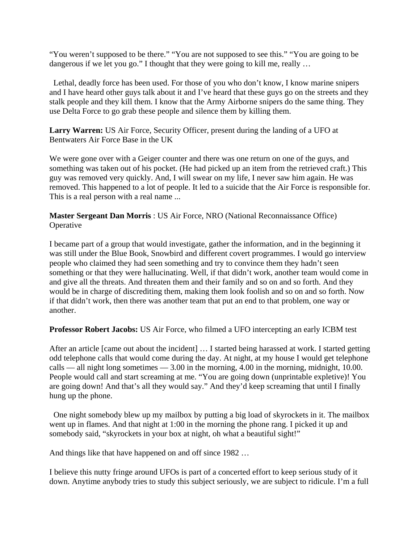"You weren't supposed to be there." "You are not supposed to see this." "You are going to be dangerous if we let you go." I thought that they were going to kill me, really ...

 Lethal, deadly force has been used. For those of you who don't know, I know marine snipers and I have heard other guys talk about it and I've heard that these guys go on the streets and they stalk people and they kill them. I know that the Army Airborne snipers do the same thing. They use Delta Force to go grab these people and silence them by killing them.

**Larry Warren:** US Air Force, Security Officer, present during the landing of a UFO at Bentwaters Air Force Base in the UK

We were gone over with a Geiger counter and there was one return on one of the guys, and something was taken out of his pocket. (He had picked up an item from the retrieved craft.) This guy was removed very quickly. And, I will swear on my life, I never saw him again. He was removed. This happened to a lot of people. It led to a suicide that the Air Force is responsible for. This is a real person with a real name ...

**Master Sergeant Dan Morris** : US Air Force, NRO (National Reconnaissance Office) Operative

I became part of a group that would investigate, gather the information, and in the beginning it was still under the Blue Book, Snowbird and different covert programmes. I would go interview people who claimed they had seen something and try to convince them they hadn't seen something or that they were hallucinating. Well, if that didn't work, another team would come in and give all the threats. And threaten them and their family and so on and so forth. And they would be in charge of discrediting them, making them look foolish and so on and so forth. Now if that didn't work, then there was another team that put an end to that problem, one way or another.

**Professor Robert Jacobs:** US Air Force, who filmed a UFO intercepting an early ICBM test

After an article [came out about the incident] … I started being harassed at work. I started getting odd telephone calls that would come during the day. At night, at my house I would get telephone calls — all night long sometimes —  $3.00$  in the morning,  $4.00$  in the morning, midnight, 10.00. People would call and start screaming at me. "You are going down (unprintable expletive)! You are going down! And that's all they would say." And they'd keep screaming that until I finally hung up the phone.

 One night somebody blew up my mailbox by putting a big load of skyrockets in it. The mailbox went up in flames. And that night at 1:00 in the morning the phone rang. I picked it up and somebody said, "skyrockets in your box at night, oh what a beautiful sight!"

And things like that have happened on and off since 1982 …

I believe this nutty fringe around UFOs is part of a concerted effort to keep serious study of it down. Anytime anybody tries to study this subject seriously, we are subject to ridicule. I'm a full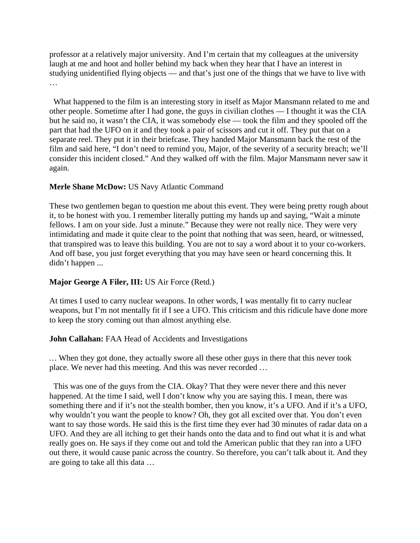professor at a relatively major university. And I'm certain that my colleagues at the university laugh at me and hoot and holler behind my back when they hear that I have an interest in studying unidentified flying objects — and that's just one of the things that we have to live with …

 What happened to the film is an interesting story in itself as Major Mansmann related to me and other people. Sometime after I had gone, the guys in civilian clothes — I thought it was the CIA but he said no, it wasn't the CIA, it was somebody else — took the film and they spooled off the part that had the UFO on it and they took a pair of scissors and cut it off. They put that on a separate reel. They put it in their briefcase. They handed Major Mansmann back the rest of the film and said here, "I don't need to remind you, Major, of the severity of a security breach; we'll consider this incident closed." And they walked off with the film. Major Mansmann never saw it again.

### **Merle Shane McDow:** US Navy Atlantic Command

These two gentlemen began to question me about this event. They were being pretty rough about it, to be honest with you. I remember literally putting my hands up and saying, "Wait a minute fellows. I am on your side. Just a minute." Because they were not really nice. They were very intimidating and made it quite clear to the point that nothing that was seen, heard, or witnessed, that transpired was to leave this building. You are not to say a word about it to your co-workers. And off base, you just forget everything that you may have seen or heard concerning this. It didn't happen ...

### **Major George A Filer, III:** US Air Force (Retd.)

At times I used to carry nuclear weapons. In other words, I was mentally fit to carry nuclear weapons, but I'm not mentally fit if I see a UFO. This criticism and this ridicule have done more to keep the story coming out than almost anything else.

### **John Callahan:** FAA Head of Accidents and Investigations

*…* When they got done, they actually swore all these other guys in there that this never took place. We never had this meeting. And this was never recorded …

 This was one of the guys from the CIA. Okay? That they were never there and this never happened. At the time I said, well I don't know why you are saying this. I mean, there was something there and if it's not the stealth bomber, then you know, it's a UFO. And if it's a UFO, why wouldn't you want the people to know? Oh, they got all excited over that. You don't even want to say those words. He said this is the first time they ever had 30 minutes of radar data on a UFO. And they are all itching to get their hands onto the data and to find out what it is and what really goes on. He says if they come out and told the American public that they ran into a UFO out there, it would cause panic across the country. So therefore, you can't talk about it. And they are going to take all this data …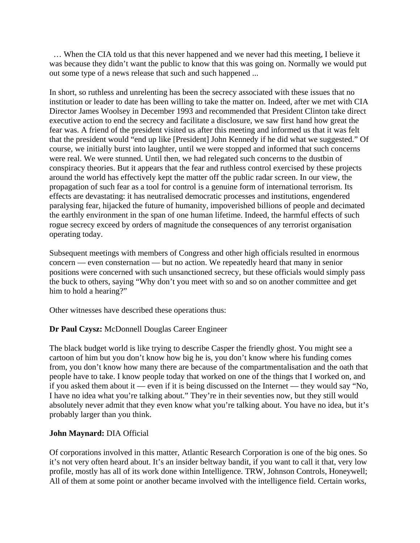… When the CIA told us that this never happened and we never had this meeting, I believe it was because they didn't want the public to know that this was going on. Normally we would put out some type of a news release that such and such happened ...

In short, so ruthless and unrelenting has been the secrecy associated with these issues that no institution or leader to date has been willing to take the matter on. Indeed, after we met with CIA Director James Woolsey in December 1993 and recommended that President Clinton take direct executive action to end the secrecy and facilitate a disclosure, we saw first hand how great the fear was. A friend of the president visited us after this meeting and informed us that it was felt that the president would "end up like [President] John Kennedy if he did what we suggested." Of course, we initially burst into laughter, until we were stopped and informed that such concerns were real. We were stunned. Until then, we had relegated such concerns to the dustbin of conspiracy theories. But it appears that the fear and ruthless control exercised by these projects around the world has effectively kept the matter off the public radar screen. In our view, the propagation of such fear as a tool for control is a genuine form of international terrorism. Its effects are devastating: it has neutralised democratic processes and institutions, engendered paralysing fear, hijacked the future of humanity, impoverished billions of people and decimated the earthly environment in the span of one human lifetime. Indeed, the harmful effects of such rogue secrecy exceed by orders of magnitude the consequences of any terrorist organisation operating today.

Subsequent meetings with members of Congress and other high officials resulted in enormous concern — even consternation — but no action. We repeatedly heard that many in senior positions were concerned with such unsanctioned secrecy, but these officials would simply pass the buck to others, saying "Why don't you meet with so and so on another committee and get him to hold a hearing?"

Other witnesses have described these operations thus:

## **Dr Paul Czysz:** McDonnell Douglas Career Engineer

The black budget world is like trying to describe Casper the friendly ghost. You might see a cartoon of him but you don't know how big he is, you don't know where his funding comes from, you don't know how many there are because of the compartmentalisation and the oath that people have to take. I know people today that worked on one of the things that I worked on, and if you asked them about it — even if it is being discussed on the Internet — they would say "No, I have no idea what you're talking about." They're in their seventies now, but they still would absolutely never admit that they even know what you're talking about. You have no idea, but it's probably larger than you think.

## **John Maynard:** DIA Official

Of corporations involved in this matter, Atlantic Research Corporation is one of the big ones. So it's not very often heard about. It's an insider beltway bandit, if you want to call it that, very low profile, mostly has all of its work done within Intelligence. TRW, Johnson Controls, Honeywell; All of them at some point or another became involved with the intelligence field. Certain works,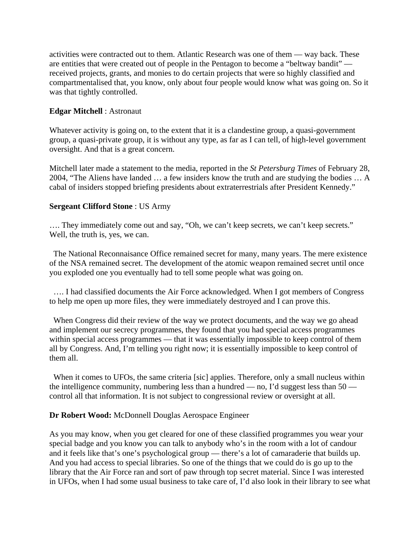activities were contracted out to them. Atlantic Research was one of them — way back. These are entities that were created out of people in the Pentagon to become a "beltway bandit" received projects, grants, and monies to do certain projects that were so highly classified and compartmentalised that, you know, only about four people would know what was going on. So it was that tightly controlled.

### **Edgar Mitchell** : Astronaut

Whatever activity is going on, to the extent that it is a clandestine group, a quasi-government group, a quasi-private group, it is without any type, as far as I can tell, of high-level government oversight. And that is a great concern.

Mitchell later made a statement to the media, reported in the *St Petersburg Times* of February 28, 2004, "The Aliens have landed … a few insiders know the truth and are studying the bodies … A cabal of insiders stopped briefing presidents about extraterrestrials after President Kennedy."

#### **Sergeant Clifford Stone** : US Army

…. They immediately come out and say, "Oh, we can't keep secrets, we can't keep secrets." Well, the truth is, yes, we can.

 The National Reconnaisance Office remained secret for many, many years. The mere existence of the NSA remained secret. The development of the atomic weapon remained secret until once you exploded one you eventually had to tell some people what was going on.

 …. I had classified documents the Air Force acknowledged. When I got members of Congress to help me open up more files, they were immediately destroyed and I can prove this.

 When Congress did their review of the way we protect documents, and the way we go ahead and implement our secrecy programmes, they found that you had special access programmes within special access programmes — that it was essentially impossible to keep control of them all by Congress. And, I'm telling you right now; it is essentially impossible to keep control of them all.

When it comes to UFOs, the same criteria [sic] applies. Therefore, only a small nucleus within the intelligence community, numbering less than a hundred — no, I'd suggest less than 50 control all that information. It is not subject to congressional review or oversight at all.

#### **Dr Robert Wood:** McDonnell Douglas Aerospace Engineer

As you may know, when you get cleared for one of these classified programmes you wear your special badge and you know you can talk to anybody who's in the room with a lot of candour and it feels like that's one's psychological group — there's a lot of camaraderie that builds up. And you had access to special libraries. So one of the things that we could do is go up to the library that the Air Force ran and sort of paw through top secret material. Since I was interested in UFOs, when I had some usual business to take care of, I'd also look in their library to see what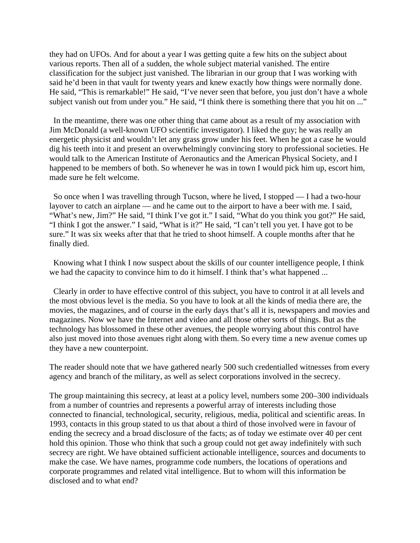they had on UFOs. And for about a year I was getting quite a few hits on the subject about various reports. Then all of a sudden, the whole subject material vanished. The entire classification for the subject just vanished. The librarian in our group that I was working with said he'd been in that vault for twenty years and knew exactly how things were normally done. He said, "This is remarkable!" He said, "I've never seen that before, you just don't have a whole subject vanish out from under you." He said, "I think there is something there that you hit on ..."

 In the meantime, there was one other thing that came about as a result of my association with Jim McDonald (a well-known UFO scientific investigator). I liked the guy; he was really an energetic physicist and wouldn't let any grass grow under his feet. When he got a case he would dig his teeth into it and present an overwhelmingly convincing story to professional societies. He would talk to the American Institute of Aeronautics and the American Physical Society, and I happened to be members of both. So whenever he was in town I would pick him up, escort him, made sure he felt welcome.

 So once when I was travelling through Tucson, where he lived, I stopped — I had a two-hour layover to catch an airplane — and he came out to the airport to have a beer with me. I said, "What's new, Jim?" He said, "I think I've got it." I said, "What do you think you got?" He said, "I think I got the answer." I said, "What is it?" He said, "I can't tell you yet. I have got to be sure." It was six weeks after that that he tried to shoot himself. A couple months after that he finally died.

 Knowing what I think I now suspect about the skills of our counter intelligence people, I think we had the capacity to convince him to do it himself. I think that's what happened ...

 Clearly in order to have effective control of this subject, you have to control it at all levels and the most obvious level is the media. So you have to look at all the kinds of media there are, the movies, the magazines, and of course in the early days that's all it is, newspapers and movies and magazines. Now we have the Internet and video and all those other sorts of things. But as the technology has blossomed in these other avenues, the people worrying about this control have also just moved into those avenues right along with them. So every time a new avenue comes up they have a new counterpoint.

The reader should note that we have gathered nearly 500 such credentialled witnesses from every agency and branch of the military, as well as select corporations involved in the secrecy.

The group maintaining this secrecy, at least at a policy level, numbers some 200–300 individuals from a number of countries and represents a powerful array of interests including those connected to financial, technological, security, religious, media, political and scientific areas. In 1993, contacts in this group stated to us that about a third of those involved were in favour of ending the secrecy and a broad disclosure of the facts; as of today we estimate over 40 per cent hold this opinion. Those who think that such a group could not get away indefinitely with such secrecy are right. We have obtained sufficient actionable intelligence, sources and documents to make the case. We have names, programme code numbers, the locations of operations and corporate programmes and related vital intelligence. But to whom will this information be disclosed and to what end?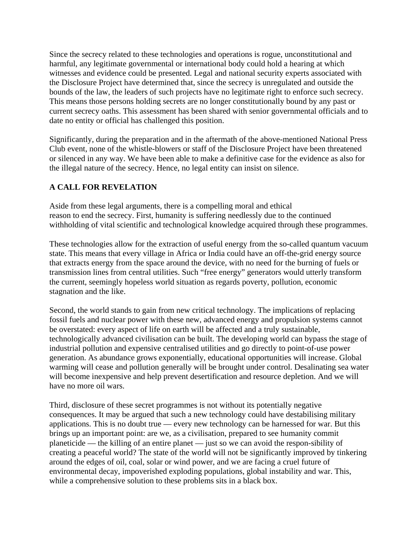Since the secrecy related to these technologies and operations is rogue, unconstitutional and harmful, any legitimate governmental or international body could hold a hearing at which witnesses and evidence could be presented. Legal and national security experts associated with the Disclosure Project have determined that, since the secrecy is unregulated and outside the bounds of the law, the leaders of such projects have no legitimate right to enforce such secrecy. This means those persons holding secrets are no longer constitutionally bound by any past or current secrecy oaths. This assessment has been shared with senior governmental officials and to date no entity or official has challenged this position.

Significantly, during the preparation and in the aftermath of the above-mentioned National Press Club event, none of the whistle-blowers or staff of the Disclosure Project have been threatened or silenced in any way. We have been able to make a definitive case for the evidence as also for the illegal nature of the secrecy. Hence, no legal entity can insist on silence.

# **A CALL FOR REVELATION**

Aside from these legal arguments, there is a compelling moral and ethical reason to end the secrecy. First, humanity is suffering needlessly due to the continued withholding of vital scientific and technological knowledge acquired through these programmes.

These technologies allow for the extraction of useful energy from the so-called quantum vacuum state. This means that every village in Africa or India could have an off-the-grid energy source that extracts energy from the space around the device, with no need for the burning of fuels or transmission lines from central utilities. Such "free energy" generators would utterly transform the current, seemingly hopeless world situation as regards poverty, pollution, economic stagnation and the like.

Second, the world stands to gain from new critical technology. The implications of replacing fossil fuels and nuclear power with these new, advanced energy and propulsion systems cannot be overstated: every aspect of life on earth will be affected and a truly sustainable, technologically advanced civilisation can be built. The developing world can bypass the stage of industrial pollution and expensive centralised utilities and go directly to point-of-use power generation. As abundance grows exponentially, educational opportunities will increase. Global warming will cease and pollution generally will be brought under control. Desalinating sea water will become inexpensive and help prevent desertification and resource depletion. And we will have no more oil wars.

Third, disclosure of these secret programmes is not without its potentially negative consequences. It may be argued that such a new technology could have destabilising military applications. This is no doubt true — every new technology can be harnessed for war. But this brings up an important point: are we, as a civilisation, prepared to see humanity commit planeticide — the killing of an entire planet — just so we can avoid the respon-sibility of creating a peaceful world? The state of the world will not be significantly improved by tinkering around the edges of oil, coal, solar or wind power, and we are facing a cruel future of environmental decay, impoverished exploding populations, global instability and war. This, while a comprehensive solution to these problems sits in a black box.